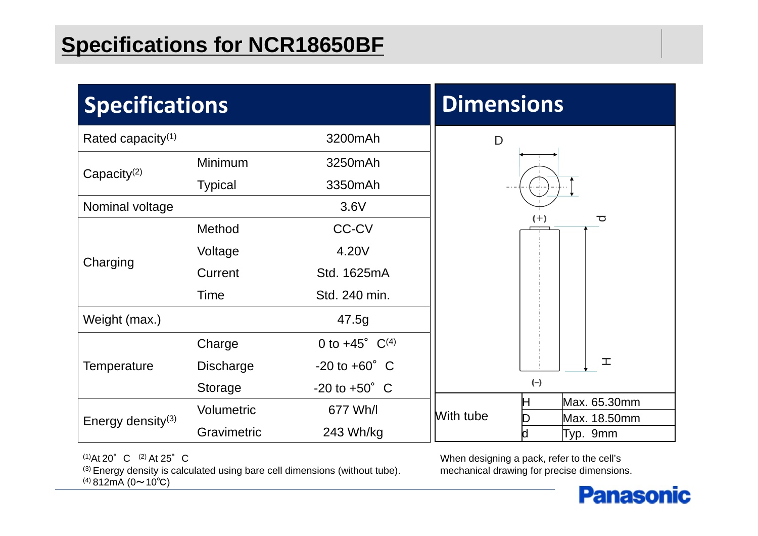#### **Specifications for NCR18650BF**

| <b>Specifications</b>         |                  |                                     | <b>Dimensions</b>                                   |
|-------------------------------|------------------|-------------------------------------|-----------------------------------------------------|
| Rated capacity <sup>(1)</sup> |                  | 3200mAh                             | $\mathsf D$                                         |
| Capacity $(2)$                | Minimum          | 3250mAh                             |                                                     |
|                               | <b>Typical</b>   | 3350mAh                             |                                                     |
| Nominal voltage               |                  | 3.6V                                |                                                     |
| Charging                      | Method           | <b>CC-CV</b>                        | $(+)$<br>ਠ                                          |
|                               | Voltage          | 4.20V                               |                                                     |
|                               | Current          | Std. 1625mA                         |                                                     |
|                               | <b>Time</b>      | Std. 240 min.                       |                                                     |
| Weight (max.)                 |                  | 47.5g                               |                                                     |
| Temperature                   | Charge           | 0 to $+45^{\circ}$ C <sup>(4)</sup> |                                                     |
|                               | <b>Discharge</b> | $-20$ to $+60^{\circ}$ C            | 工                                                   |
|                               | Storage          | $-20$ to $+50^{\circ}$ C            | $(-)$                                               |
| Energy density <sup>(3)</sup> | Volumetric       | 677 Wh/l                            | Max. 65.30mm<br>Н<br>With tube<br>Max. 18.50mm<br>D |
|                               | Gravimetric      | 243 Wh/kg                           | Typ. 9mm<br>d                                       |

 $(1)$ At 20°C  $(2)$  At 25°C  $(3)$  Energy density is calculated using bare cell dimensions (without tube).  $(4)$  812mA (0~10°C)

When designing a pack, refer to the cell's mechanical drawing for precise dimensions.

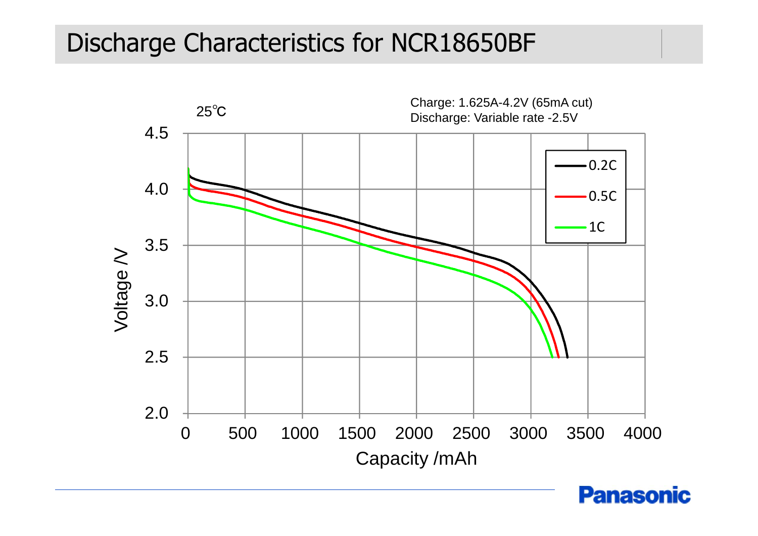#### Discharge Characteristics for NCR18650BF



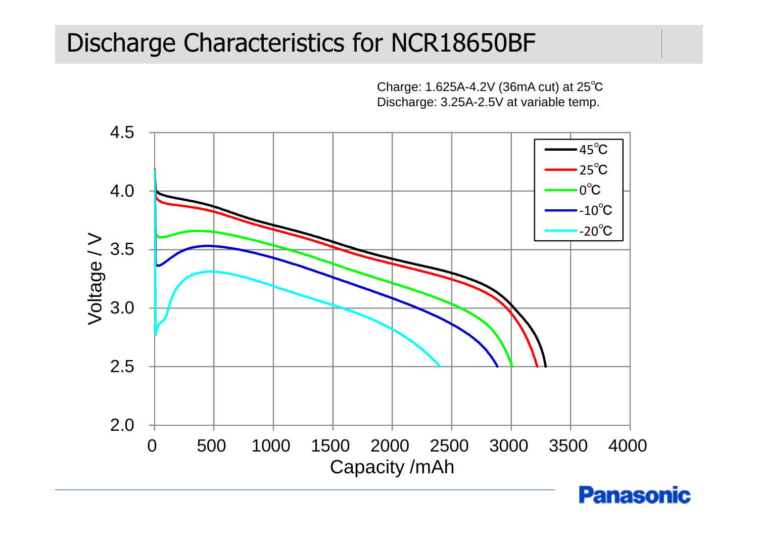# Discharge Characteristics for NCR18650BF

Charge: 1.625A-4.2V (36mA cut) at 25℃ Discharge: 3.25A-2.5V at variable temp.



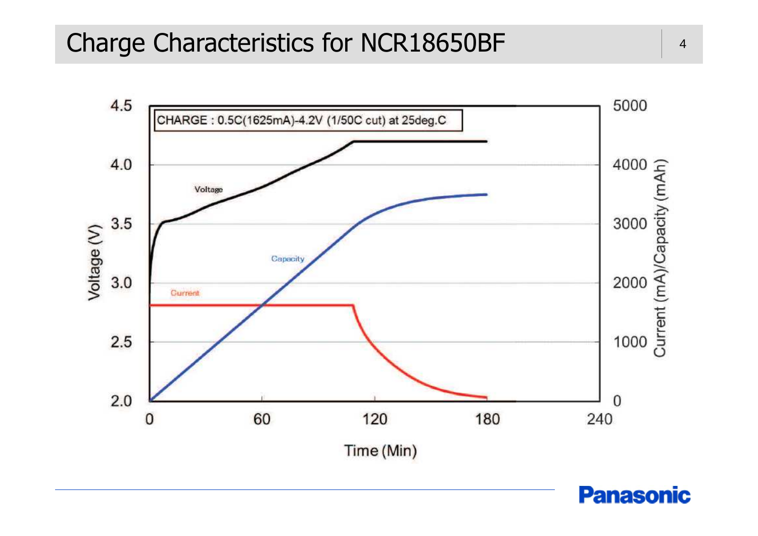### Charge Characteristics for NCR18650BF